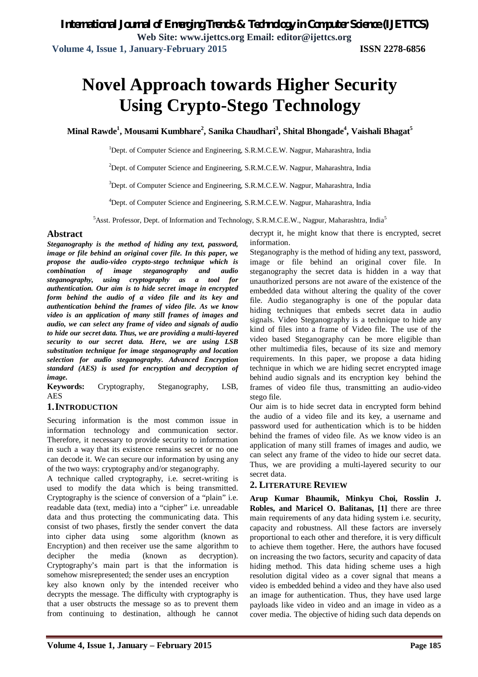# **Novel Approach towards Higher Security Using Crypto-Stego Technology**

**Minal Rawde<sup>1</sup> , Mousami Kumbhare 2 , Sanika Chaudhari<sup>3</sup> , Shital Bhongade<sup>4</sup> , Vaishali Bhagat<sup>5</sup>**

<sup>1</sup>Dept. of Computer Science and Engineering, S.R.M.C.E.W. Nagpur, Maharashtra, India

<sup>2</sup>Dept. of Computer Science and Engineering, S.R.M.C.E.W. Nagpur, Maharashtra, India

<sup>3</sup>Dept. of Computer Science and Engineering, S.R.M.C.E.W. Nagpur, Maharashtra, India

<sup>4</sup>Dept. of Computer Science and Engineering, S.R.M.C.E.W. Nagpur, Maharashtra, India

<sup>5</sup>Asst. Professor, Dept. of Information and Technology, S.R.M.C.E.W., Nagpur, Maharashtra, India<sup>5</sup>

#### **Abstract**

*Steganography is the method of hiding any text, password, image or file behind an original cover file. In this paper, we propose the audio-video crypto-stego technique which is combination of image steganography and audio steganography, using cryptography as a tool for authentication. Our aim is to hide secret image in encrypted form behind the audio of a video file and its key and authentication behind the frames of video file. As we know video is an application of many still frames of images and audio, we can select any frame of video and signals of audio to hide our secret data. Thus, we are providing a multi-layered security to our secret data. Here, we are using LSB substitution technique for image steganography and location selection for audio steganography. Advanced Encryption standard (AES) is used for encryption and decryption of image.*

**Keywords:** Cryptography, Steganography, LSB, AES

#### **1.INTRODUCTION**

Securing information is the most common issue in information technology and communication sector. Therefore, it necessary to provide security to information in such a way that its existence remains secret or no one can decode it. We can secure our information by using any of the two ways: cryptography and/or steganography.

A technique called cryptography, i.e. secret-writing is used to modify the data which is being transmitted. Cryptography is the science of conversion of a "plain" i.e. readable data (text, media) into a "cipher" i.e. unreadable data and thus protecting the communicating data. This consist of two phases, firstly the sender convert the data into cipher data using some algorithm (known as Encryption) and then receiver use the same algorithm to decipher the media (known as decryption). Cryptography's main part is that the information is somehow misrepresented; the sender uses an encryption

key also known only by the intended receiver who decrypts the message. The difficulty with cryptography is that a user obstructs the message so as to prevent them from continuing to destination, although he cannot

decrypt it, he might know that there is encrypted, secret information.

Steganography is the method of hiding any text, password, image or file behind an original cover file. In steganography the secret data is hidden in a way that unauthorized persons are not aware of the existence of the embedded data without altering the quality of the cover file. Audio steganography is one of the popular data hiding techniques that embeds secret data in audio signals. Video Steganography is a technique to hide any kind of files into a frame of Video file. The use of the video based Steganography can be more eligible than other multimedia files, because of its size and memory requirements. In this paper, we propose a data hiding technique in which we are hiding secret encrypted image behind audio signals and its encryption key behind the frames of video file thus, transmitting an audio-video stego file.

Our aim is to hide secret data in encrypted form behind the audio of a video file and its key, a username and password used for authentication which is to be hidden behind the frames of video file. As we know video is an application of many still frames of images and audio, we can select any frame of the video to hide our secret data. Thus, we are providing a multi-layered security to our secret data.

#### **2. LITERATURE REVIEW**

**Arup Kumar Bhaumik, Minkyu Choi, Rosslin J. Robles, and Maricel O. Balitanas, [1]** there are three main requirements of any data hiding system i.e. security, capacity and robustness. All these factors are inversely proportional to each other and therefore, it is very difficult to achieve them together. Here, the authors have focused on increasing the two factors, security and capacity of data hiding method. This data hiding scheme uses a high resolution digital video as a cover signal that means a video is embedded behind a video and they have also used an image for authentication. Thus, they have used large payloads like video in video and an image in video as a cover media. The objective of hiding such data depends on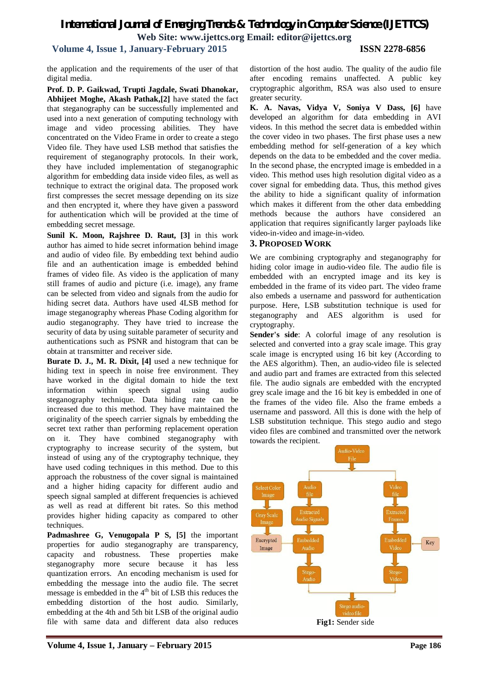# *International Journal of Emerging Trends & Technology in Computer Science (IJETTCS)* **Web Site: www.ijettcs.org Email: editor@ijettcs.org**

# **Volume 4, Issue 1, January-February 2015 ISSN 2278-6856**

the application and the requirements of the user of that digital media.

**Prof. D. P. Gaikwad, Trupti Jagdale, Swati Dhanokar, Abhijeet Moghe, Akash Pathak,[2]** have stated the fact that steganography can be successfully implemented and used into a next generation of computing technology with image and video processing abilities. They have concentrated on the Video Frame in order to create a stego Video file. They have used LSB method that satisfies the requirement of steganography protocols. In their work, they have included implementation of steganographic algorithm for embedding data inside video files, as well as technique to extract the original data. The proposed work first compresses the secret message depending on its size and then encrypted it, where they have given a password for authentication which will be provided at the time of embedding secret message.

**Sunil K. Moon, Rajshree D. Raut, [3]** in this work author has aimed to hide secret information behind image and audio of video file. By embedding text behind audio file and an authentication image is embedded behind frames of video file. As video is the application of many still frames of audio and picture (i.e. image), any frame can be selected from video and signals from the audio for hiding secret data. Authors have used 4LSB method for image steganography whereas Phase Coding algorithm for audio steganography. They have tried to increase the security of data by using suitable parameter of security and authentications such as PSNR and histogram that can be obtain at transmitter and receiver side.

**Burate D. J., M. R. Dixit, [4]** used a new technique for hiding text in speech in noise free environment. They have worked in the digital domain to hide the text information within speech signal using audio steganography technique. Data hiding rate can be increased due to this method. They have maintained the originality of the speech carrier signals by embedding the secret text rather than performing replacement operation on it. They have combined steganography with cryptography to increase security of the system, but instead of using any of the cryptography technique, they have used coding techniques in this method. Due to this approach the robustness of the cover signal is maintained and a higher hiding capacity for different audio and speech signal sampled at different frequencies is achieved as well as read at different bit rates. So this method provides higher hiding capacity as compared to other techniques.

**Padmashree G, Venugopala P S, [5]** the important properties for audio steganography are transparency, capacity and robustness. These properties make steganography more secure because it has less quantization errors. An encoding mechanism is used for embedding the message into the audio file. The secret message is embedded in the  $4<sup>th</sup>$  bit of LSB this reduces the embedding distortion of the host audio. Similarly, embedding at the 4th and 5th bit LSB of the original audio file with same data and different data also reduces

distortion of the host audio. The quality of the audio file after encoding remains unaffected. A public key cryptographic algorithm, RSA was also used to ensure greater security.

**K. A. Navas, Vidya V, Soniya V Dass, [6]** have developed an algorithm for data embedding in AVI videos. In this method the secret data is embedded within the cover video in two phases. The first phase uses a new embedding method for self-generation of a key which depends on the data to be embedded and the cover media. In the second phase, the encrypted image is embedded in a video. This method uses high resolution digital video as a cover signal for embedding data. Thus, this method gives the ability to hide a significant quality of information which makes it different from the other data embedding methods because the authors have considered an application that requires significantly larger payloads like video-in-video and image-in-video.

## **3. PROPOSED WORK**

We are combining cryptography and steganography for hiding color image in audio-video file. The audio file is embedded with an encrypted image and its key is embedded in the frame of its video part. The video frame also embeds a username and password for authentication purpose. Here, LSB substitution technique is used for steganography and AES algorithm is used for cryptography.

**Sender's side**: A colorful image of any resolution is selected and converted into a gray scale image. This gray scale image is encrypted using 16 bit key (According to the AES algorithm). Then, an audio-video file is selected and audio part and frames are extracted from this selected file. The audio signals are embedded with the encrypted grey scale image and the 16 bit key is embedded in one of the frames of the video file. Also the frame embeds a username and password. All this is done with the help of LSB substitution technique. This stego audio and stego video files are combined and transmitted over the network towards the recipient.

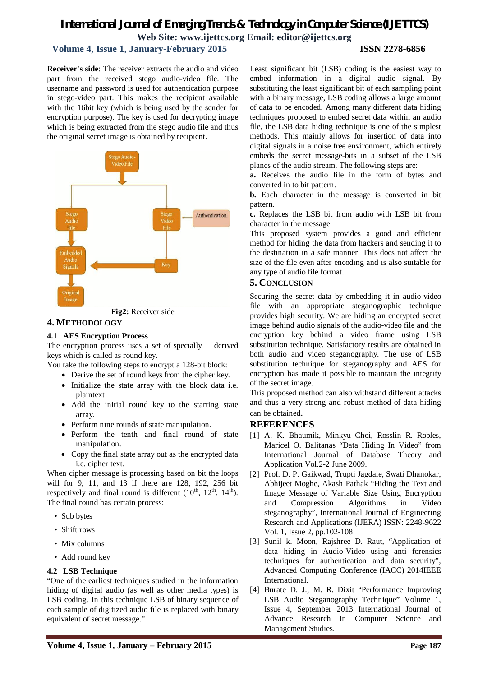# *International Journal of Emerging Trends & Technology in Computer Science (IJETTCS)* **Web Site: www.ijettcs.org Email: editor@ijettcs.org**

## **Volume 4, Issue 1, January-February 2015 ISSN 2278-6856**

#### **Receiver's side**: The receiver extracts the audio and video part from the received stego audio-video file. The username and password is used for authentication purpose in stego-video part. This makes the recipient available with the 16bit key (which is being used by the sender for encryption purpose). The key is used for decrypting image which is being extracted from the stego audio file and thus the original secret image is obtained by recipient.





## **4. METHODOLOGY**

#### **4.1 AES Encryption Process**

The encryption process uses a set of specially derived keys which is called as round key.

You take the following steps to encrypt a 128-bit block:

- Derive the set of round keys from the cipher key.
- Initialize the state array with the block data i.e. plaintext
- Add the initial round key to the starting state array.
- Perform nine rounds of state manipulation.
- Perform the tenth and final round of state manipulation.
- Copy the final state array out as the encrypted data i.e. cipher text.

When cipher message is processing based on bit the loops will for 9, 11, and 13 if there are 128, 192, 256 bit respectively and final round is different  $(10^{th}, 12^{th}, 14^{th})$ . The final round has certain process:

- Sub bytes
- Shift rows
- Mix columns
- Add round key

#### **4.2 LSB Technique**

"One of the earliest techniques studied in the information hiding of digital audio (as well as other media types) is LSB coding. In this technique LSB of binary sequence of each sample of digitized audio file is replaced with binary equivalent of secret message."

Least significant bit (LSB) coding is the easiest way to embed information in a digital audio signal. By substituting the least significant bit of each sampling point with a binary message, LSB coding allows a large amount of data to be encoded. Among many different data hiding techniques proposed to embed secret data within an audio file, the LSB data hiding technique is one of the simplest methods. This mainly allows for insertion of data into digital signals in a noise free environment, which entirely embeds the secret message-bits in a subset of the LSB planes of the audio stream. The following steps are:

**a.** Receives the audio file in the form of bytes and converted in to bit pattern.

**b.** Each character in the message is converted in bit pattern.

**c.** Replaces the LSB bit from audio with LSB bit from character in the message.

This proposed system provides a good and efficient method for hiding the data from hackers and sending it to the destination in a safe manner. This does not affect the size of the file even after encoding and is also suitable for any type of audio file format.

#### **5. CONCLUSION**

Securing the secret data by embedding it in audio-video file with an appropriate steganographic technique provides high security. We are hiding an encrypted secret image behind audio signals of the audio-video file and the encryption key behind a video frame using LSB substitution technique. Satisfactory results are obtained in both audio and video steganography. The use of LSB substitution technique for steganography and AES for encryption has made it possible to maintain the integrity of the secret image.

This proposed method can also withstand different attacks and thus a very strong and robust method of data hiding can be obtained.

#### **REFERENCES**

- [1] A. K. Bhaumik, Minkyu Choi, Rosslin R. Robles, Maricel O. Balitanas "Data Hiding In Video" from International Journal of Database Theory and Application Vol.2-2 June 2009.
- [2] Prof. D. P. Gaikwad, Trupti Jagdale, Swati Dhanokar, Abhijeet Moghe, Akash Pathak "Hiding the Text and Image Message of Variable Size Using Encryption and Compression Algorithms in Video steganography", International Journal of Engineering Research and Applications (IJERA) ISSN: 2248-9622 Vol. 1, Issue 2, pp.102-108
- [3] Sunil k. Moon, Rajshree D. Raut, "Application of data hiding in Audio-Video using anti forensics techniques for authentication and data security", Advanced Computing Conference (IACC) 2014IEEE International.
- [4] Burate D. J., M. R. Dixit "Performance Improving LSB Audio Steganography Technique" Volume 1, Issue 4, September 2013 International Journal of Advance Research in Computer Science and Management Studies.